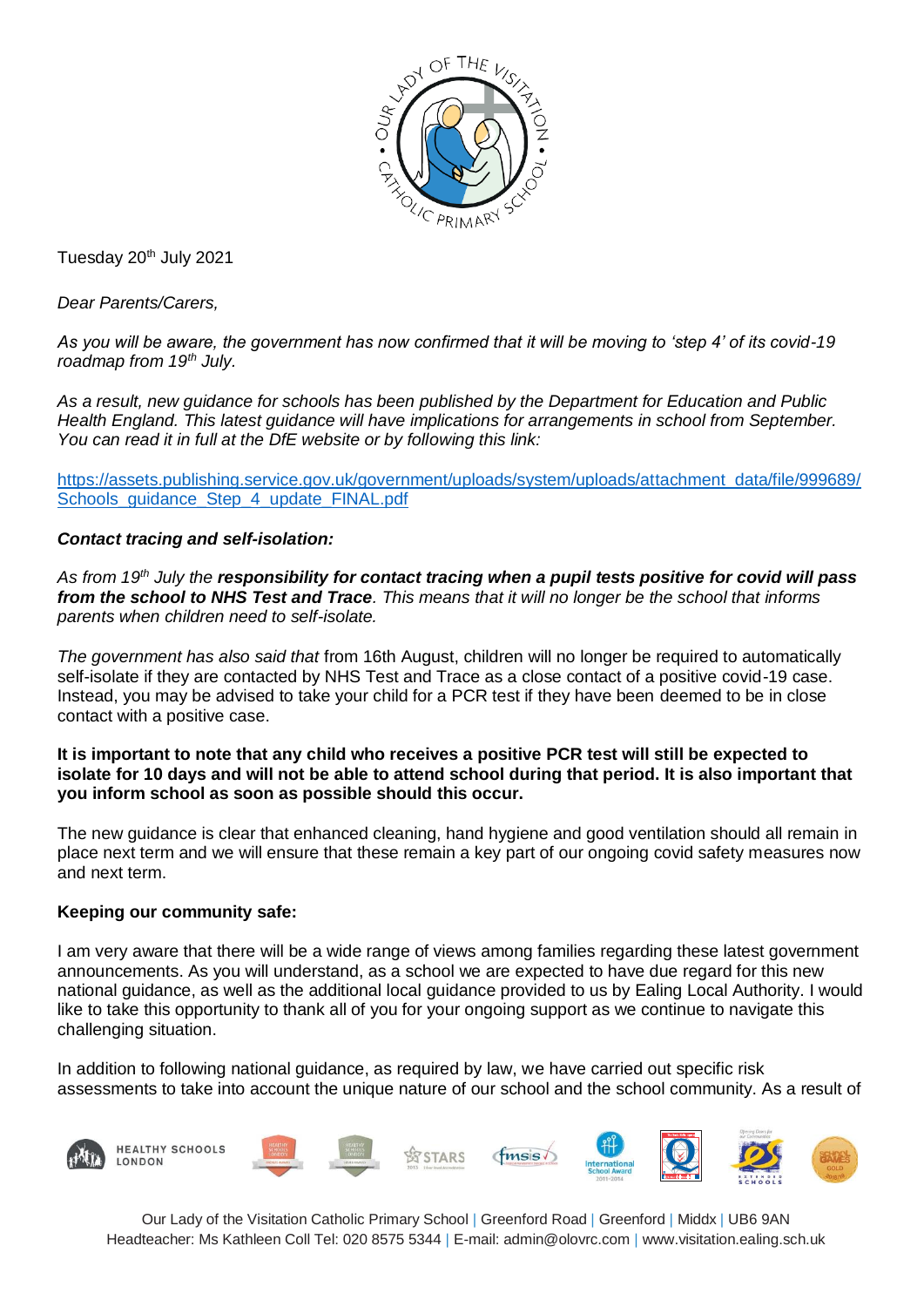

Tuesday 20<sup>th</sup> July 2021

*Dear Parents/Carers,*

*As you will be aware, the government has now confirmed that it will be moving to 'step 4' of its covid-19 roadmap from 19th July.*

*As a result, new guidance for schools has been published by the Department for Education and Public Health England. This latest guidance will have implications for arrangements in school from September. You can read it in full at the DfE website or by following this link:* 

[https://assets.publishing.service.gov.uk/government/uploads/system/uploads/attachment\\_data/file/999689/](https://assets.publishing.service.gov.uk/government/uploads/system/uploads/attachment_data/file/999689/Schools_guidance_Step_4_update_FINAL.pdf) [Schools\\_guidance\\_Step\\_4\\_update\\_FINAL.pdf](https://assets.publishing.service.gov.uk/government/uploads/system/uploads/attachment_data/file/999689/Schools_guidance_Step_4_update_FINAL.pdf)

## *Contact tracing and self-isolation:*

*As from 19th July the responsibility for contact tracing when a pupil tests positive for covid will pass from the school to NHS Test and Trace. This means that it will no longer be the school that informs parents when children need to self-isolate.* 

*The government has also said that* from 16th August, children will no longer be required to automatically self-isolate if they are contacted by NHS Test and Trace as a close contact of a positive covid-19 case. Instead, you may be advised to take your child for a PCR test if they have been deemed to be in close contact with a positive case.

**It is important to note that any child who receives a positive PCR test will still be expected to isolate for 10 days and will not be able to attend school during that period. It is also important that you inform school as soon as possible should this occur.**

The new guidance is clear that enhanced cleaning, hand hygiene and good ventilation should all remain in place next term and we will ensure that these remain a key part of our ongoing covid safety measures now and next term.

## **Keeping our community safe:**

I am very aware that there will be a wide range of views among families regarding these latest government announcements. As you will understand, as a school we are expected to have due regard for this new national guidance, as well as the additional local guidance provided to us by Ealing Local Authority. I would like to take this opportunity to thank all of you for your ongoing support as we continue to navigate this challenging situation.

In addition to following national guidance, as required by law, we have carried out specific risk assessments to take into account the unique nature of our school and the school community. As a result of



Our Lady of the Visitation Catholic Primary School | Greenford Road | Greenford | Middx | UB6 9AN Headteacher: Ms Kathleen Coll Tel: 020 8575 5344 | E-mail: [admin@olovrc.com |](mailto:admin@olovrc.com) [www.visitation.ealing.sch.uk](http://www.visitation.ealing.sch.uk/)